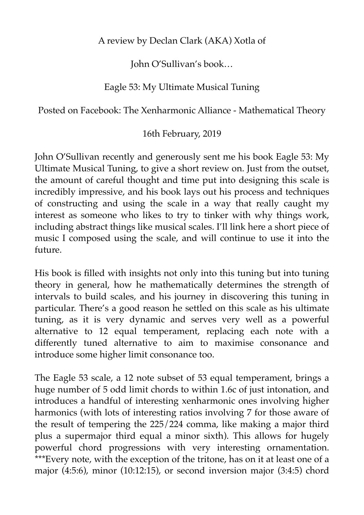A review by Declan Clark (AKA) Xotla of

John O'Sullivan's book…

## Eagle 53: My Ultimate Musical Tuning

Posted on Facebook: The Xenharmonic Alliance - Mathematical Theory

## 16th February, 2019

John O'Sullivan recently and generously sent me his book Eagle 53: My Ultimate Musical Tuning, to give a short review on. Just from the outset, the amount of careful thought and time put into designing this scale is incredibly impressive, and his book lays out his process and techniques of constructing and using the scale in a way that really caught my interest as someone who likes to try to tinker with why things work, including abstract things like musical scales. I'll link here a short piece of music I composed using the scale, and will continue to use it into the future.

His book is filled with insights not only into this tuning but into tuning theory in general, how he mathematically determines the strength of intervals to build scales, and his journey in discovering this tuning in particular. There's a good reason he settled on this scale as his ultimate tuning, as it is very dynamic and serves very well as a powerful alternative to 12 equal temperament, replacing each note with a differently tuned alternative to aim to maximise consonance and introduce some higher limit consonance too.

The Eagle 53 scale, a 12 note subset of 53 equal temperament, brings a huge number of 5 odd limit chords to within 1.6c of just intonation, and introduces a handful of interesting xenharmonic ones involving higher harmonics (with lots of interesting ratios involving 7 for those aware of the result of tempering the 225/224 comma, like making a major third plus a supermajor third equal a minor sixth). This allows for hugely powerful chord progressions with very interesting ornamentation. \*\*\*Every note, with the exception of the tritone, has on it at least one of a major (4:5:6), minor (10:12:15), or second inversion major (3:4:5) chord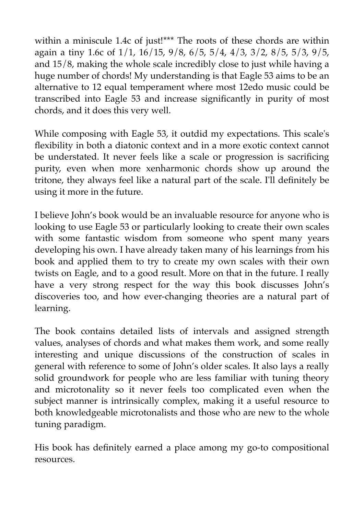within a miniscule 1.4c of just!\*\*\* The roots of these chords are within again a tiny 1.6c of 1/1, 16/15, 9/8, 6/5, 5/4, 4/3, 3/2, 8/5, 5/3, 9/5, and 15/8, making the whole scale incredibly close to just while having a huge number of chords! My understanding is that Eagle 53 aims to be an alternative to 12 equal temperament where most 12edo music could be transcribed into Eagle 53 and increase significantly in purity of most chords, and it does this very well.

While composing with Eagle 53, it outdid my expectations. This scale's flexibility in both a diatonic context and in a more exotic context cannot be understated. It never feels like a scale or progression is sacrificing purity, even when more xenharmonic chords show up around the tritone, they always feel like a natural part of the scale. I'll definitely be using it more in the future.

I believe John's book would be an invaluable resource for anyone who is looking to use Eagle 53 or particularly looking to create their own scales with some fantastic wisdom from someone who spent many years developing his own. I have already taken many of his learnings from his book and applied them to try to create my own scales with their own twists on Eagle, and to a good result. More on that in the future. I really have a very strong respect for the way this book discusses John's discoveries too, and how ever-changing theories are a natural part of learning.

The book contains detailed lists of intervals and assigned strength values, analyses of chords and what makes them work, and some really interesting and unique discussions of the construction of scales in general with reference to some of John's older scales. It also lays a really solid groundwork for people who are less familiar with tuning theory and microtonality so it never feels too complicated even when the subject manner is intrinsically complex, making it a useful resource to both knowledgeable microtonalists and those who are new to the whole tuning paradigm.

His book has definitely earned a place among my go-to compositional resources.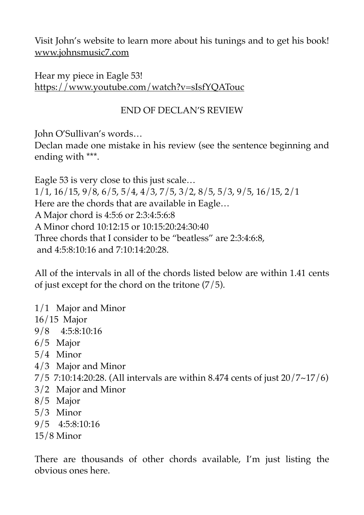Visit John's website to learn more about his tunings and to get his book! [www.johnsmusic7.com](http://www.johnsmusic7.com/?fbclid=IwAR0Rc01qWvL8X7Gxoxr2SS9xBZtOBrK5T5WAT58bAtZtiOCt_KQqxbUVUuY)

Hear my piece in Eagle 53! [https://www.youtube.com/watch?v=sIsfYQATouc](https://www.youtube.com/watch?v=sIsfYQATouc&fbclid=IwAR0Rc01qWvL8X7Gxoxr2SS9xBZtOBrK5T5WAT58bAtZtiOCt_KQqxbUVUuY)

## END OF DECLAN'S REVIEW

John O'Sullivan's words…

Declan made one mistake in his review (see the sentence beginning and ending with \*\*\*.

Eagle 53 is very close to this just scale… 1/1, 16/15, 9/8, 6/5, 5/4, 4/3, 7/5, 3/2, 8/5, 5/3, 9/5, 16/15, 2/1 Here are the chords that are available in Eagle… A Major chord is 4:5:6 or 2:3:4:5:6:8 A Minor chord 10:12:15 or 10:15:20:24:30:40 Three chords that I consider to be "beatless" are 2:3:4:6:8, and 4:5:8:10:16 and 7:10:14:20:28.

All of the intervals in all of the chords listed below are within 1.41 cents of just except for the chord on the tritone (7/5).

| $1/1$ Major and Minor                                                          |  |
|--------------------------------------------------------------------------------|--|
| $16/15$ Major                                                                  |  |
| $9/8$ 4:5:8:10:16                                                              |  |
| $6/5$ Major                                                                    |  |
| $5/4$ Minor                                                                    |  |
| $4/3$ Major and Minor                                                          |  |
| 7/5 7:10:14:20:28. (All intervals are within 8.474 cents of just $20/7~17/6$ ) |  |
| 3/2 Major and Minor                                                            |  |
| 8/5 Major                                                                      |  |
| $5/3$ Minor                                                                    |  |
| $9/5$ 4:5:8:10:16                                                              |  |
| $15/8$ Minor                                                                   |  |
|                                                                                |  |
| There are thousands of other chards available. I'm just listing the            |  |

There are thousands of other chords available, I'm just listing the obvious ones here.